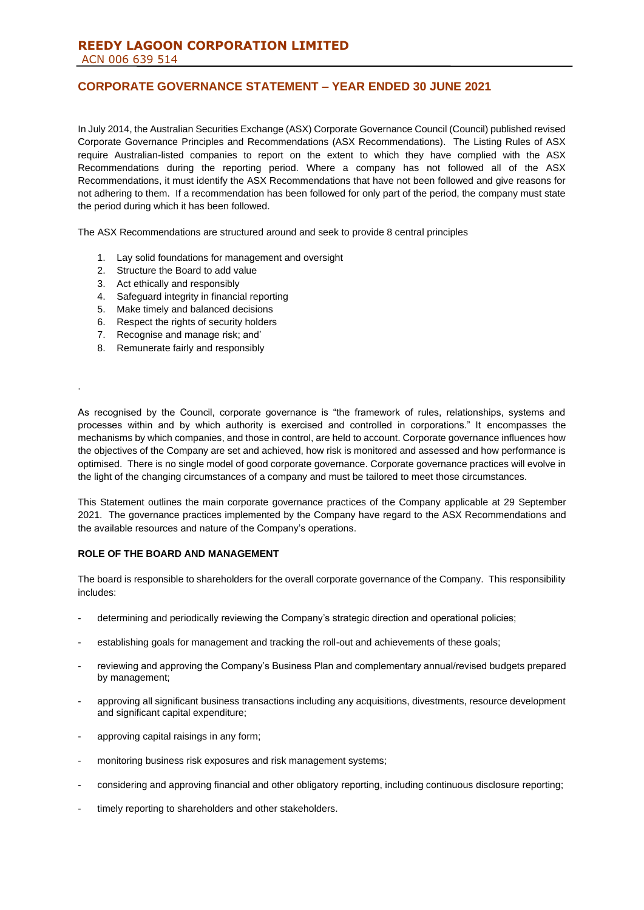## **CORPORATE GOVERNANCE STATEMENT – YEAR ENDED 30 JUNE 2021**

In July 2014, the Australian Securities Exchange (ASX) Corporate Governance Council (Council) published revised Corporate Governance Principles and Recommendations (ASX Recommendations). The Listing Rules of ASX require Australian-listed companies to report on the extent to which they have complied with the ASX Recommendations during the reporting period. Where a company has not followed all of the ASX Recommendations, it must identify the ASX Recommendations that have not been followed and give reasons for not adhering to them. If a recommendation has been followed for only part of the period, the company must state the period during which it has been followed.

The ASX Recommendations are structured around and seek to provide 8 central principles

- 1. Lay solid foundations for management and oversight
- 2. Structure the Board to add value
- 3. Act ethically and responsibly
- 4. Safeguard integrity in financial reporting
- 5. Make timely and balanced decisions
- 6. Respect the rights of security holders
- 7. Recognise and manage risk; and'
- 8. Remunerate fairly and responsibly

.

As recognised by the Council, corporate governance is "the framework of rules, relationships, systems and processes within and by which authority is exercised and controlled in corporations." It encompasses the mechanisms by which companies, and those in control, are held to account. Corporate governance influences how the objectives of the Company are set and achieved, how risk is monitored and assessed and how performance is optimised. There is no single model of good corporate governance. Corporate governance practices will evolve in the light of the changing circumstances of a company and must be tailored to meet those circumstances.

This Statement outlines the main corporate governance practices of the Company applicable at 29 September 2021. The governance practices implemented by the Company have regard to the ASX Recommendations and the available resources and nature of the Company's operations.

#### **ROLE OF THE BOARD AND MANAGEMENT**

The board is responsible to shareholders for the overall corporate governance of the Company. This responsibility includes:

- determining and periodically reviewing the Company's strategic direction and operational policies;
- establishing goals for management and tracking the roll-out and achievements of these goals;
- reviewing and approving the Company's Business Plan and complementary annual/revised budgets prepared by management;
- approving all significant business transactions including any acquisitions, divestments, resource development and significant capital expenditure;
- approving capital raisings in any form;
- monitoring business risk exposures and risk management systems;
- considering and approving financial and other obligatory reporting, including continuous disclosure reporting;
- timely reporting to shareholders and other stakeholders.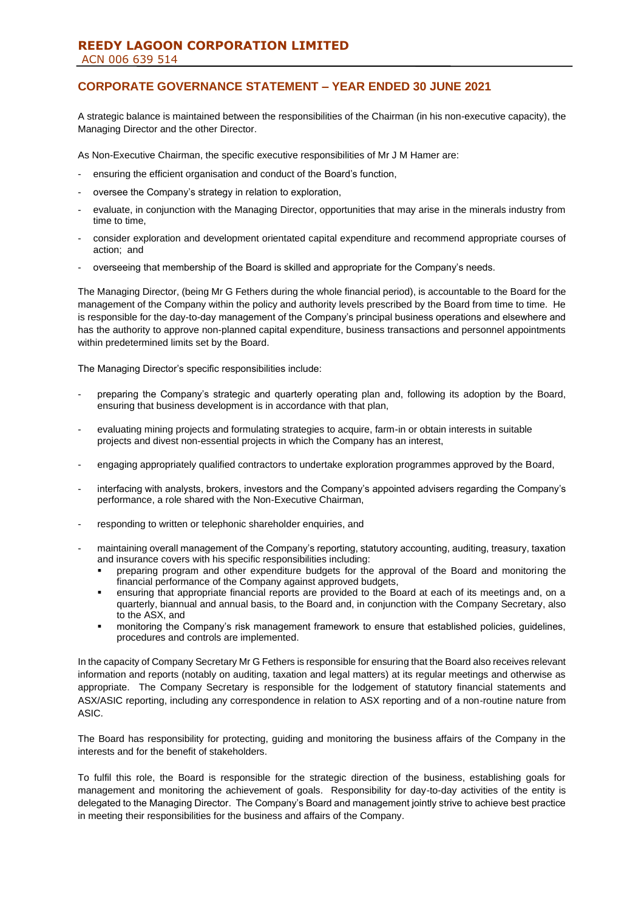# **CORPORATE GOVERNANCE STATEMENT – YEAR ENDED 30 JUNE 2021**

A strategic balance is maintained between the responsibilities of the Chairman (in his non-executive capacity), the Managing Director and the other Director.

As Non-Executive Chairman, the specific executive responsibilities of Mr J M Hamer are:

- ensuring the efficient organisation and conduct of the Board's function,
- oversee the Company's strategy in relation to exploration,
- evaluate, in conjunction with the Managing Director, opportunities that may arise in the minerals industry from time to time,
- consider exploration and development orientated capital expenditure and recommend appropriate courses of action; and
- overseeing that membership of the Board is skilled and appropriate for the Company's needs.

The Managing Director, (being Mr G Fethers during the whole financial period), is accountable to the Board for the management of the Company within the policy and authority levels prescribed by the Board from time to time. He is responsible for the day-to-day management of the Company's principal business operations and elsewhere and has the authority to approve non-planned capital expenditure, business transactions and personnel appointments within predetermined limits set by the Board.

The Managing Director's specific responsibilities include:

- preparing the Company's strategic and quarterly operating plan and, following its adoption by the Board, ensuring that business development is in accordance with that plan,
- evaluating mining projects and formulating strategies to acquire, farm-in or obtain interests in suitable projects and divest non-essential projects in which the Company has an interest,
- engaging appropriately qualified contractors to undertake exploration programmes approved by the Board,
- interfacing with analysts, brokers, investors and the Company's appointed advisers regarding the Company's performance, a role shared with the Non-Executive Chairman,
- responding to written or telephonic shareholder enquiries, and
- maintaining overall management of the Company's reporting, statutory accounting, auditing, treasury, taxation and insurance covers with his specific responsibilities including:
	- preparing program and other expenditure budgets for the approval of the Board and monitoring the financial performance of the Company against approved budgets,
	- ensuring that appropriate financial reports are provided to the Board at each of its meetings and, on a quarterly, biannual and annual basis, to the Board and, in conjunction with the Company Secretary, also to the ASX, and
	- monitoring the Company's risk management framework to ensure that established policies, guidelines, procedures and controls are implemented.

In the capacity of Company Secretary Mr G Fethers is responsible for ensuring that the Board also receives relevant information and reports (notably on auditing, taxation and legal matters) at its regular meetings and otherwise as appropriate. The Company Secretary is responsible for the lodgement of statutory financial statements and ASX/ASIC reporting, including any correspondence in relation to ASX reporting and of a non-routine nature from ASIC.

The Board has responsibility for protecting, guiding and monitoring the business affairs of the Company in the interests and for the benefit of stakeholders.

To fulfil this role, the Board is responsible for the strategic direction of the business, establishing goals for management and monitoring the achievement of goals. Responsibility for day-to-day activities of the entity is delegated to the Managing Director. The Company's Board and management jointly strive to achieve best practice in meeting their responsibilities for the business and affairs of the Company.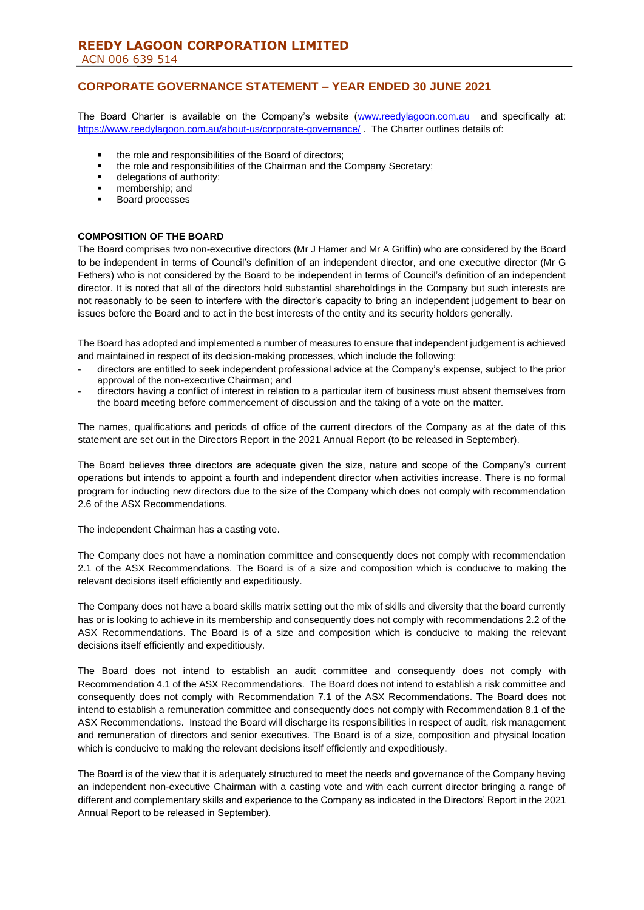# **CORPORATE GOVERNANCE STATEMENT – YEAR ENDED 30 JUNE 2021**

The Board Charter is available on the Company's website [\(www.reedylagoon.com.au](http://www.reedylagoon.com.au/) and specifically at: <https://www.reedylagoon.com.au/about-us/corporate-governance/> . The Charter outlines details of:

- the role and responsibilities of the Board of directors;
- **•** the role and responsibilities of the Chairman and the Company Secretary;
- **■** delegations of authority;
- membership; and
- Board processes

#### **COMPOSITION OF THE BOARD**

The Board comprises two non-executive directors (Mr J Hamer and Mr A Griffin) who are considered by the Board to be independent in terms of Council's definition of an independent director, and one executive director (Mr G Fethers) who is not considered by the Board to be independent in terms of Council's definition of an independent director. It is noted that all of the directors hold substantial shareholdings in the Company but such interests are not reasonably to be seen to interfere with the director's capacity to bring an independent judgement to bear on issues before the Board and to act in the best interests of the entity and its security holders generally.

The Board has adopted and implemented a number of measures to ensure that independent judgement is achieved and maintained in respect of its decision-making processes, which include the following:

- directors are entitled to seek independent professional advice at the Company's expense, subject to the prior approval of the non-executive Chairman; and
- directors having a conflict of interest in relation to a particular item of business must absent themselves from the board meeting before commencement of discussion and the taking of a vote on the matter.

The names, qualifications and periods of office of the current directors of the Company as at the date of this statement are set out in the Directors Report in the 2021 Annual Report (to be released in September).

The Board believes three directors are adequate given the size, nature and scope of the Company's current operations but intends to appoint a fourth and independent director when activities increase. There is no formal program for inducting new directors due to the size of the Company which does not comply with recommendation 2.6 of the ASX Recommendations.

The independent Chairman has a casting vote.

The Company does not have a nomination committee and consequently does not comply with recommendation 2.1 of the ASX Recommendations. The Board is of a size and composition which is conducive to making the relevant decisions itself efficiently and expeditiously.

The Company does not have a board skills matrix setting out the mix of skills and diversity that the board currently has or is looking to achieve in its membership and consequently does not comply with recommendations 2.2 of the ASX Recommendations. The Board is of a size and composition which is conducive to making the relevant decisions itself efficiently and expeditiously.

The Board does not intend to establish an audit committee and consequently does not comply with Recommendation 4.1 of the ASX Recommendations. The Board does not intend to establish a risk committee and consequently does not comply with Recommendation 7.1 of the ASX Recommendations. The Board does not intend to establish a remuneration committee and consequently does not comply with Recommendation 8.1 of the ASX Recommendations. Instead the Board will discharge its responsibilities in respect of audit, risk management and remuneration of directors and senior executives. The Board is of a size, composition and physical location which is conducive to making the relevant decisions itself efficiently and expeditiously.

The Board is of the view that it is adequately structured to meet the needs and governance of the Company having an independent non-executive Chairman with a casting vote and with each current director bringing a range of different and complementary skills and experience to the Company as indicated in the Directors' Report in the 2021 Annual Report to be released in September).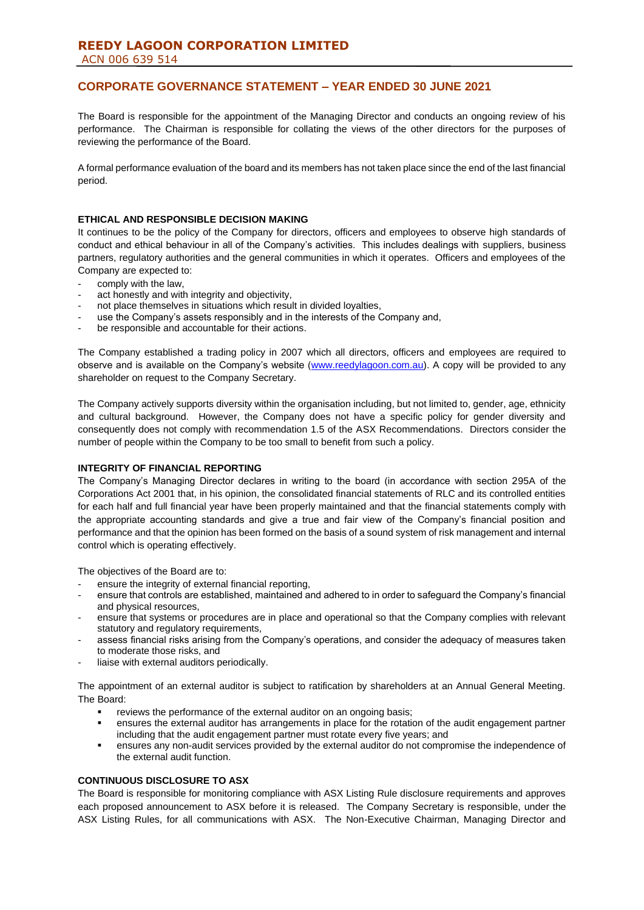### **REEDY LAGOON CORPORATION LIMITED** ACN 006 639 514

## **CORPORATE GOVERNANCE STATEMENT – YEAR ENDED 30 JUNE 2021**

The Board is responsible for the appointment of the Managing Director and conducts an ongoing review of his performance. The Chairman is responsible for collating the views of the other directors for the purposes of reviewing the performance of the Board.

A formal performance evaluation of the board and its members has not taken place since the end of the last financial period.

#### **ETHICAL AND RESPONSIBLE DECISION MAKING**

It continues to be the policy of the Company for directors, officers and employees to observe high standards of conduct and ethical behaviour in all of the Company's activities. This includes dealings with suppliers, business partners, regulatory authorities and the general communities in which it operates. Officers and employees of the Company are expected to:

- comply with the law.
- act honestly and with integrity and objectivity,
- not place themselves in situations which result in divided loyalties,
- use the Company's assets responsibly and in the interests of the Company and,
- be responsible and accountable for their actions.

The Company established a trading policy in 2007 which all directors, officers and employees are required to observe and is available on the Company's website [\(www.reedylagoon.com.au\)](http://www.reedylagoon.com.au/). A copy will be provided to any shareholder on request to the Company Secretary.

The Company actively supports diversity within the organisation including, but not limited to, gender, age, ethnicity and cultural background. However, the Company does not have a specific policy for gender diversity and consequently does not comply with recommendation 1.5 of the ASX Recommendations. Directors consider the number of people within the Company to be too small to benefit from such a policy.

#### **INTEGRITY OF FINANCIAL REPORTING**

The Company's Managing Director declares in writing to the board (in accordance with section 295A of the Corporations Act 2001 that, in his opinion, the consolidated financial statements of RLC and its controlled entities for each half and full financial year have been properly maintained and that the financial statements comply with the appropriate accounting standards and give a true and fair view of the Company's financial position and performance and that the opinion has been formed on the basis of a sound system of risk management and internal control which is operating effectively.

The objectives of the Board are to:

- ensure the integrity of external financial reporting,
- ensure that controls are established, maintained and adhered to in order to safeguard the Company's financial and physical resources,
- ensure that systems or procedures are in place and operational so that the Company complies with relevant statutory and regulatory requirements,
- assess financial risks arising from the Company's operations, and consider the adequacy of measures taken to moderate those risks, and
- liaise with external auditors periodically.

The appointment of an external auditor is subject to ratification by shareholders at an Annual General Meeting. The Board:

- reviews the performance of the external auditor on an ongoing basis;
- ensures the external auditor has arrangements in place for the rotation of the audit engagement partner including that the audit engagement partner must rotate every five years; and
- ensures any non-audit services provided by the external auditor do not compromise the independence of the external audit function.

### **CONTINUOUS DISCLOSURE TO ASX**

The Board is responsible for monitoring compliance with ASX Listing Rule disclosure requirements and approves each proposed announcement to ASX before it is released. The Company Secretary is responsible, under the ASX Listing Rules, for all communications with ASX. The Non-Executive Chairman, Managing Director and